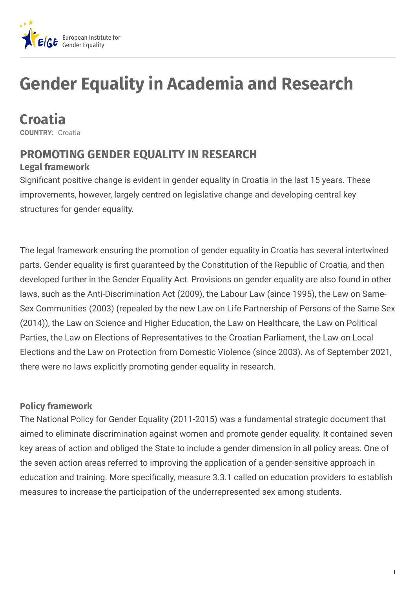

# **Gender Equality in Academia and Research**

**Croatia**

**COUNTRY:** Croatia

# **PROMOTING GENDER EQUALITY IN RESEARCH**

### **Legal framework**

Significant positive change is evident in gender equality in Croatia in the last 15 years. These improvements, however, largely centred on legislative change and developing central key structures for gender equality.

The legal framework ensuring the promotion of gender equality in Croatia has several intertwined parts. Gender equality is first guaranteed by the Constitution of the Republic of Croatia, and then developed further in the Gender Equality Act. Provisions on gender equality are also found in other laws, such as the Anti-Discrimination Act (2009), the Labour Law (since 1995), the Law on Same-Sex Communities (2003) (repealed by the new Law on Life Partnership of Persons of the Same Sex (2014)), the Law on Science and Higher Education, the Law on Healthcare, the Law on Political Parties, the Law on Elections of Representatives to the Croatian Parliament, the Law on Local Elections and the Law on Protection from Domestic Violence (since 2003). As of September 2021, there were no laws explicitly promoting gender equality in research.

### **Policy framework**

The National Policy for Gender Equality (2011-2015) was a fundamental strategic document that aimed to eliminate discrimination against women and promote gender equality. It contained seven key areas of action and obliged the State to include a gender dimension in all policy areas. One of the seven action areas referred to improving the application of a gender-sensitive approach in education and training. More specifically, measure 3.3.1 called on education providers to establish measures to increase the participation of the underrepresented sex among students.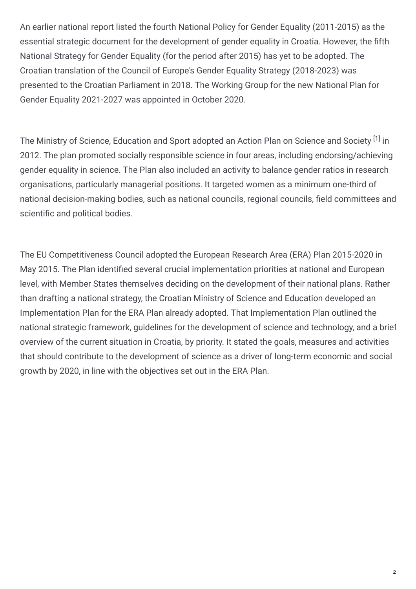An earlier national report listed the fourth National Policy for Gender Equality (2011-2015) as the essential strategic document for the development of gender equality in Croatia. However, the fifth National Strategy for Gender Equality (for the period after 2015) has yet to be adopted. The Croatian translation of the Council of Europe's Gender Equality Strategy (2018-2023) was presented to the Croatian Parliament in 2018. The Working Group for the new National Plan for Gender Equality 2021-2027 was appointed in October 2020.

The Ministry of Science, Education and Sport adopted an Action Plan on Science and Society <sup>[1]</sup> in 2012. The plan promoted socially responsible science in four areas, including endorsing/achieving gender equality in science. The Plan also included an activity to balance gender ratios in research organisations, particularly managerial positions. It targeted women as a minimum one-third of national decision-making bodies, such as national councils, regional councils, field committees and scientific and political bodies.

The EU Competitiveness Council adopted the European Research Area (ERA) Plan 2015-2020 in May 2015. The Plan identified several crucial implementation priorities at national and European level, with Member States themselves deciding on the development of their national plans. Rather than drafting a national strategy, the Croatian Ministry of Science and Education developed an Implementation Plan for the ERA Plan already adopted. That Implementation Plan outlined the national strategic framework, guidelines for the development of science and technology, and a brief overview of the current situation in Croatia, by priority. It stated the goals, measures and activities that should contribute to the development of science as a driver of long-term economic and social growth by 2020, in line with the objectives set out in the ERA Plan.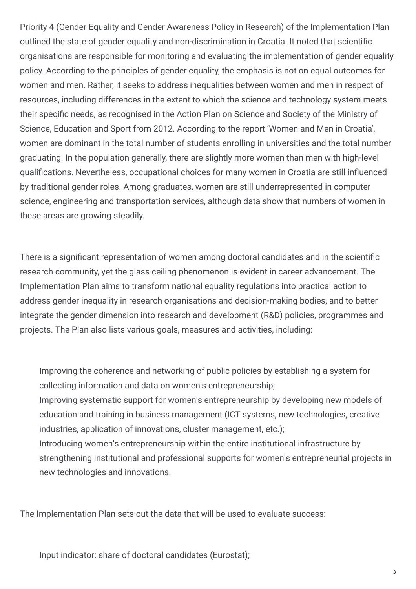Priority 4 (Gender Equality and Gender Awareness Policy in Research) of the Implementation Plan outlined the state of gender equality and non-discrimination in Croatia. It noted that scientific organisations are responsible for monitoring and evaluating the implementation of gender equality policy. According to the principles of gender equality, the emphasis is not on equal outcomes for women and men. Rather, it seeks to address inequalities between women and men in respect of resources, including differences in the extent to which the science and technology system meets their specific needs, as recognised in the Action Plan on Science and Society of the Ministry of Science, Education and Sport from 2012. According to the report 'Women and Men in Croatia', women are dominant in the total number of students enrolling in universities and the total number graduating. In the population generally, there are slightly more women than men with high-level qualifications. Nevertheless, occupational choices for many women in Croatia are still influenced by traditional gender roles. Among graduates, women are still underrepresented in computer science, engineering and transportation services, although data show that numbers of women in these areas are growing steadily.

There is a significant representation of women among doctoral candidates and in the scientific research community, yet the glass ceiling phenomenon is evident in career advancement. The Implementation Plan aims to transform national equality regulations into practical action to address gender inequality in research organisations and decision-making bodies, and to better integrate the gender dimension into research and development (R&D) policies, programmes and projects. The Plan also lists various goals, measures and activities, including:

Improving the coherence and networking of public policies by establishing a system for collecting information and data on women's entrepreneurship; Improving systematic support for women's entrepreneurship by developing new models of education and training in business management (ICT systems, new technologies, creative industries, application of innovations, cluster management, etc.); Introducing women's entrepreneurship within the entire institutional infrastructure by strengthening institutional and professional supports for women's entrepreneurial projects in new technologies and innovations.

The Implementation Plan sets out the data that will be used to evaluate success:

Input indicator: share of doctoral candidates (Eurostat);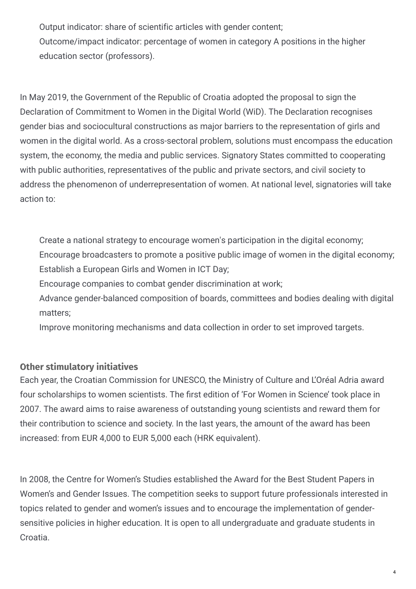Output indicator: share of scientific articles with gender content;

Outcome/impact indicator: percentage of women in category A positions in the higher education sector (professors).

In May 2019, the Government of the Republic of Croatia adopted the proposal to sign the Declaration of Commitment to Women in the Digital World (WiD). The Declaration recognises gender bias and sociocultural constructions as major barriers to the representation of girls and women in the digital world. As a cross-sectoral problem, solutions must encompass the education system, the economy, the media and public services. Signatory States committed to cooperating with public authorities, representatives of the public and private sectors, and civil society to address the phenomenon of underrepresentation of women. At national level, signatories will take action to:

Create a national strategy to encourage women's participation in the digital economy; Encourage broadcasters to promote a positive public image of women in the digital economy; Establish a European Girls and Women in ICT Day;

Encourage companies to combat gender discrimination at work;

Advance gender-balanced composition of boards, committees and bodies dealing with digital matters;

Improve monitoring mechanisms and data collection in order to set improved targets.

## **Other stimulatory initiatives**

Each year, the Croatian Commission for UNESCO, the Ministry of Culture and L'Oréal Adria award four scholarships to women scientists. The first edition of 'For Women in Science' took place in 2007. The award aims to raise awareness of outstanding young scientists and reward them for their contribution to science and society. In the last years, the amount of the award has been increased: from EUR 4,000 to EUR 5,000 each (HRK equivalent).

In 2008, the Centre for Women's Studies established the Award for the Best Student Papers in Women's and Gender Issues. The competition seeks to support future professionals interested in topics related to gender and women's issues and to encourage the implementation of gendersensitive policies in higher education. It is open to all undergraduate and graduate students in Croatia.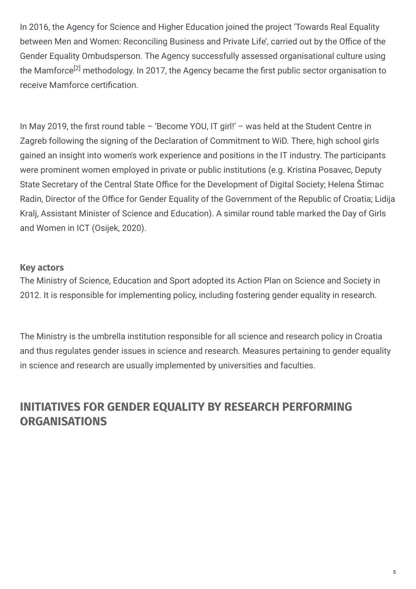In 2016, the Agency for Science and Higher Education joined the project 'Towards Real Equality between Men and Women: Reconciling Business and Private Life', carried out by the Office of the Gender Equality Ombudsperson. The Agency successfully assessed organisational culture using the Mamforce<sup>[2]</sup> methodology. In 2017, the Agency became the first public sector organisation to receive Mamforce certification.

In May 2019, the first round table  $-$  'Become YOU, IT girl!'  $-$  was held at the Student Centre in Zagreb following the signing of the Declaration of Commitment to WiD. There, high school girls gained an insight into women's work experience and positions in the IT industry. The participants were prominent women employed in private or public institutions (e.g. Kristina Posavec, Deputy State Secretary of the Central State Office for the Development of Digital Society; Helena Štimac Radin, Director of the Office for Gender Equality of the Government of the Republic of Croatia; Lidija Kralj, Assistant Minister of Science and Education). A similar round table marked the Day of Girls and Women in ICT (Osijek, 2020).

#### **Key actors**

The Ministry of Science, Education and Sport adopted its Action Plan on Science and Society in 2012. It is responsible for implementing policy, including fostering gender equality in research.

The Ministry is the umbrella institution responsible for all science and research policy in Croatia and thus regulates gender issues in science and research. Measures pertaining to gender equality in science and research are usually implemented by universities and faculties.

## **INITIATIVES FOR GENDER EQUALITY BY RESEARCH PERFORMING ORGANISATIONS**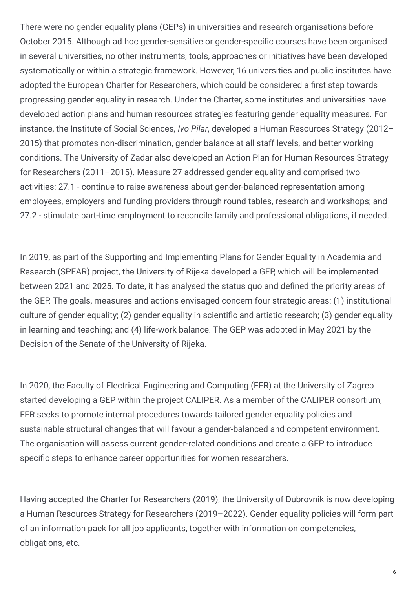There were no gender equality plans (GEPs) in universities and research organisations before October 2015. Although ad hoc gender-sensitive or gender-specific courses have been organised in several universities, no other instruments, tools, approaches or initiatives have been developed systematically or within a strategic framework. However, 16 universities and public institutes have adopted the European Charter for Researchers, which could be considered a first step towards progressing gender equality in research. Under the Charter, some institutes and universities have developed action plans and human resources strategies featuring gender equality measures. For instance, the Institute of Social Sciences, *Ivo Pilar*, developed a Human Resources Strategy (2012– 2015) that promotes non-discrimination, gender balance at all staff levels, and better working conditions. The University of Zadar also developed an Action Plan for Human Resources Strategy for Researchers (2011–2015). Measure 27 addressed gender equality and comprised two activities: 27.1 - continue to raise awareness about gender-balanced representation among employees, employers and funding providers through round tables, research and workshops; and 27.2 - stimulate part-time employment to reconcile family and professional obligations, if needed.

In 2019, as part of the Supporting and Implementing Plans for Gender Equality in Academia and Research (SPEAR) project, the University of Rijeka developed a GEP, which will be implemented between 2021 and 2025. To date, it has analysed the status quo and defined the priority areas of the GEP. The goals, measures and actions envisaged concern four strategic areas: (1) institutional culture of gender equality; (2) gender equality in scientific and artistic research; (3) gender equality in learning and teaching; and (4) life-work balance. The GEP was adopted in May 2021 by the Decision of the Senate of the University of Rijeka.

In 2020, the Faculty of Electrical Engineering and Computing (FER) at the University of Zagreb started developing a GEP within the project CALIPER. As a member of the CALIPER consortium, FER seeks to promote internal procedures towards tailored gender equality policies and sustainable structural changes that will favour a gender-balanced and competent environment. The organisation will assess current gender-related conditions and create a GEP to introduce specific steps to enhance career opportunities for women researchers.

Having accepted the Charter for Researchers (2019), the University of Dubrovnik is now developing a Human Resources Strategy for Researchers (2019–2022). Gender equality policies will form part of an information pack for all job applicants, together with information on competencies, obligations, etc.